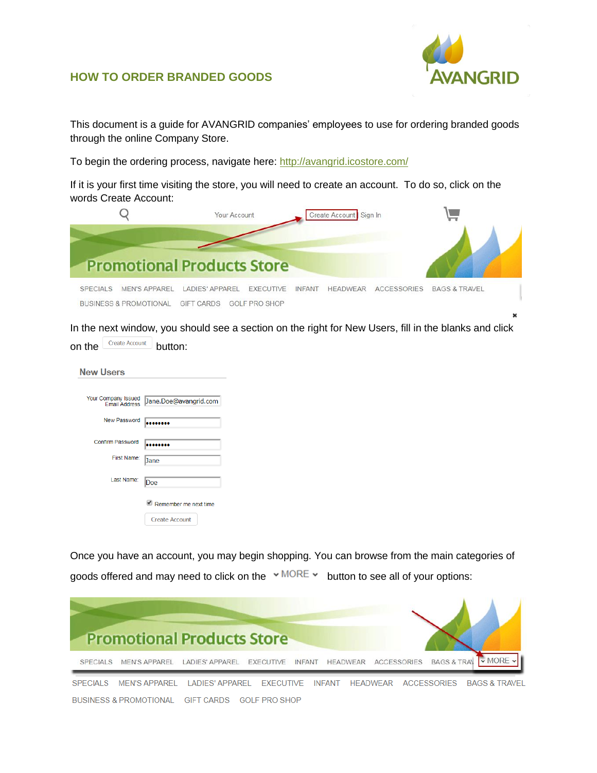

## **HOW TO ORDER BRANDED GOODS**

This document is a guide for AVANGRID companies' employees to use for ordering branded goods through the online Company Store.

To begin the ordering process, navigate here:<http://avangrid.icostore.com/>

If it is your first time visiting the store, you will need to create an account. To do so, click on the words Create Account:

|                 |                                                           | Your Account                                |                                          |               | Create Account Sign In |                    |                          |  |
|-----------------|-----------------------------------------------------------|---------------------------------------------|------------------------------------------|---------------|------------------------|--------------------|--------------------------|--|
|                 |                                                           | <b>Promotional Products Store</b>           |                                          |               |                        |                    |                          |  |
| <b>SPECIALS</b> | <b>MEN'S APPAREL</b><br><b>BUSINESS &amp; PROMOTIONAL</b> | <b>LADIES' APPAREL</b><br><b>GIFT CARDS</b> | <b>EXECUTIVE</b><br><b>GOLF PRO SHOP</b> | <b>INFANT</b> | <b>HFADWFAR</b>        | <b>ACCESSORIES</b> | <b>BAGS &amp; TRAVEL</b> |  |

In the next window, you should see a section on the right for New Users, fill in the blanks and click on the  $\sqrt{\frac{1}{1-\frac{1}{1-\frac{1}{1-\frac{1}{1-\frac{1}{1-\frac{1}{1-\frac{1}{1-\frac{1}{1-\frac{1}{1-\frac{1}{1-\frac{1}{1-\frac{1}{1-\frac{1}{1-\frac{1}{1-\frac{1}{1-\frac{1}{1-\frac{1}{1-\frac{1}{1-\frac{1}{1-\frac{1}{1-\frac{1}{1-\frac{1}{1-\frac{1}{1-\frac{1}{1-\frac{1}{1-\frac{1}{1-\frac{1}{1-\frac{1}{1-\frac{1}{1-\frac{1}{1-\frac{1}{1-\frac{1}{1-\frac{1}{1-\frac{1}{1-\frac{1}{1-\$ 

| <b>New Users</b>                            |                       |
|---------------------------------------------|-----------------------|
|                                             |                       |
| Your Company Issued<br><b>Email Address</b> | Jane.Doe@avangrid.com |
| <b>New Password</b>                         |                       |
| <b>Confirm Password</b>                     |                       |
| First Name:                                 | <b>Jane</b>           |
| Last Name:                                  | Doe                   |
|                                             | Remember me next time |
|                                             | <b>Create Account</b> |

Once you have an account, you may begin shopping. You can browse from the main categories of goods offered and may need to click on the  $\cdot$  MORE  $\cdot$  button to see all of your options:

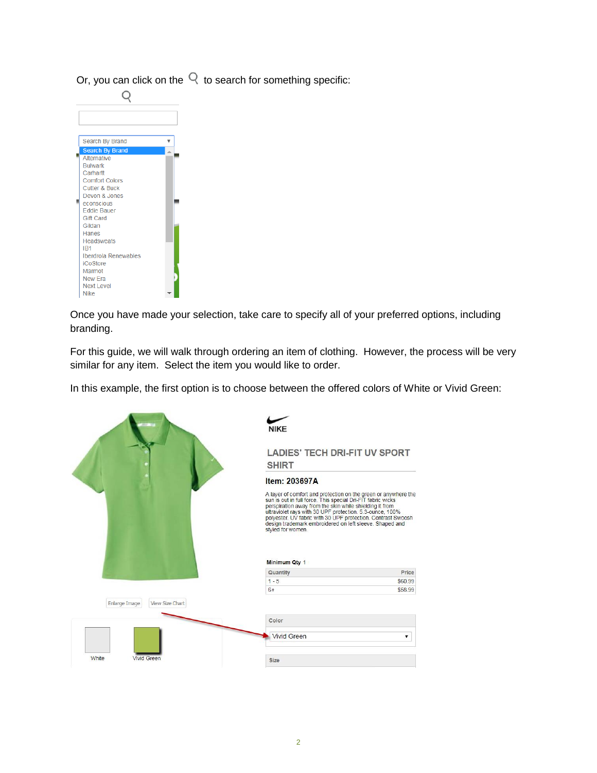Or, you can click on the  $\mathbb Q$  to search for something specific:

| Search By Brand                        | v |
|----------------------------------------|---|
| <b>Search By Brand</b>                 |   |
| Alternative                            |   |
| <b>Bulwark</b>                         |   |
| Carhartt                               |   |
| <b>Comfort Colors</b>                  |   |
| Cutter & Buck                          |   |
| Devon & Jones                          |   |
| econscious                             |   |
| <b>Eddie Bauer</b><br><b>Gift Card</b> |   |
| Gildan                                 |   |
| Hanes                                  |   |
| <b>Headsweats</b>                      |   |
| IB <sub>1</sub>                        |   |
| Iberdrola Renewables                   |   |
| <b>iCoStore</b>                        |   |
| Marmot                                 |   |
| New Era                                |   |
| Next Level                             |   |
| <b>Nike</b>                            |   |

Once you have made your selection, take care to specify all of your preferred options, including branding.

For this guide, we will walk through ordering an item of clothing. However, the process will be very similar for any item. Select the item you would like to order.

In this example, the first option is to choose between the offered colors of White or Vivid Green:

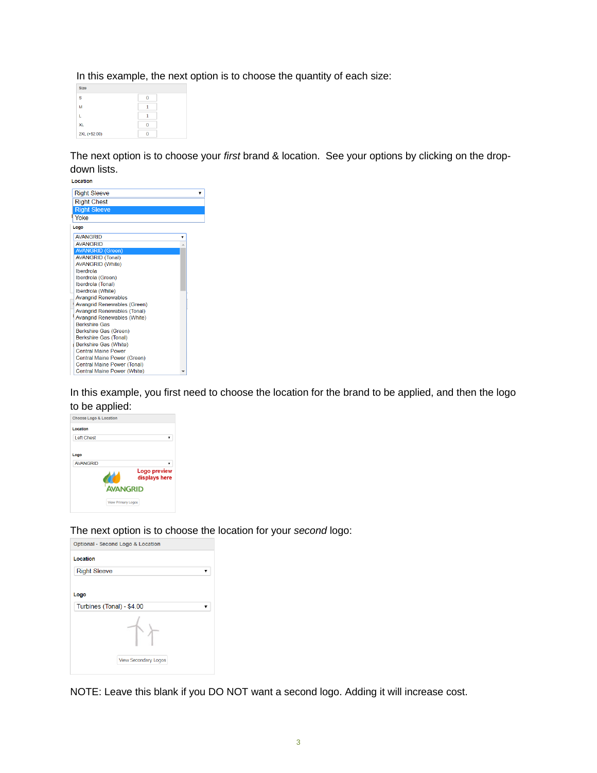In this example, the next option is to choose the quantity of each size:

| <b>Size</b>   |  |
|---------------|--|
| Ś             |  |
| м             |  |
|               |  |
| <b>XL</b>     |  |
| 2XL (+\$2.00) |  |

The next option is to choose your *first* brand & location. See your options by clicking on the dropdown lists.

| Location                                                   |  |
|------------------------------------------------------------|--|
| <b>Right Sleeve</b>                                        |  |
| <b>Right Chest</b>                                         |  |
| <b>Right Sleeve</b>                                        |  |
| Yoke                                                       |  |
| Logo                                                       |  |
| <b>AVANGRID</b>                                            |  |
| <b>AVANGRID</b>                                            |  |
| <b>AVANGRID (Green)</b>                                    |  |
| <b>AVANGRID (Tonal)</b>                                    |  |
| <b>AVANGRID (White)</b>                                    |  |
| Iberdrola                                                  |  |
| Iberdrola (Green)                                          |  |
| Iberdrola (Tonal)                                          |  |
| Iberdrola (White)                                          |  |
| <b>Avangrid Renewables</b>                                 |  |
| Avangrid Renewables (Green)                                |  |
| <b>Avangrid Renewables (Tonal)</b>                         |  |
| <b>Avangrid Renewables (White)</b><br><b>Berkshire Gas</b> |  |
| Berkshire Gas (Green)                                      |  |
| Berkshire Gas (Tonal)                                      |  |
| Berkshire Gas (White)                                      |  |
| <b>Central Maine Power</b>                                 |  |
| Central Maine Power (Green)                                |  |
| Central Maine Power (Tonal)                                |  |
| Central Maine Power (White)                                |  |

In this example, you first need to choose the location for the brand to be applied, and then the logo to be applied:

| <b>Choose Logo &amp; Location</b> |                               |
|-----------------------------------|-------------------------------|
| Location                          |                               |
| <b>Left Chest</b>                 |                               |
| Logo                              |                               |
| <b>AVANGRID</b>                   |                               |
|                                   | Logo preview<br>displays here |
| <b>AVANGRID</b>                   |                               |
| <b>View Primary Logos</b>         |                               |

The next option is to choose the location for your *second* logo:

| Optional - Second Logo & Location |
|-----------------------------------|
| Location<br><b>Right Sleeve</b>   |
|                                   |
| Logo                              |
| Turbines (Tonal) - \$4.00         |
|                                   |
| <b>View Secondary Logos</b>       |

NOTE: Leave this blank if you DO NOT want a second logo. Adding it will increase cost.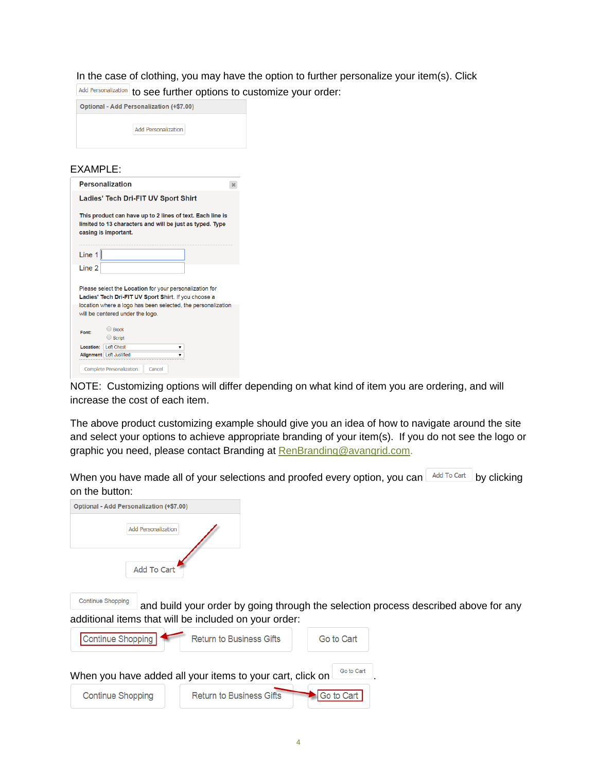In the case of clothing, you may have the option to further personalize your item(s). Click Add Personalization to see further options to customize your order:

| Optional - Add Personalization (+\$7.00) |                            |  |  |  |  |
|------------------------------------------|----------------------------|--|--|--|--|
|                                          | <b>Add Personalization</b> |  |  |  |  |

## EXAMPLE:

|                                                                                                                                               | <b>Personalization</b>                                                                                                                                                                                              |  |  |  |  |
|-----------------------------------------------------------------------------------------------------------------------------------------------|---------------------------------------------------------------------------------------------------------------------------------------------------------------------------------------------------------------------|--|--|--|--|
| Ladies' Tech Dri-FIT UV Sport Shirt                                                                                                           |                                                                                                                                                                                                                     |  |  |  |  |
| This product can have up to 2 lines of text. Each line is<br>limited to 13 characters and will be just as typed. Type<br>casing is important. |                                                                                                                                                                                                                     |  |  |  |  |
| Line 1                                                                                                                                        |                                                                                                                                                                                                                     |  |  |  |  |
| Line 2                                                                                                                                        |                                                                                                                                                                                                                     |  |  |  |  |
|                                                                                                                                               | Please select the Location for your personalization for<br>Ladies' Tech Dri-FIT UV Sport Shirt. If you choose a<br>location where a logo has been selected, the personalization<br>will be centered under the logo. |  |  |  |  |
| Font:                                                                                                                                         | $\Box$ Block                                                                                                                                                                                                        |  |  |  |  |
|                                                                                                                                               | $\bigcirc$ Script                                                                                                                                                                                                   |  |  |  |  |
|                                                                                                                                               |                                                                                                                                                                                                                     |  |  |  |  |
| Location:                                                                                                                                     | Left Chest<br>▼                                                                                                                                                                                                     |  |  |  |  |
|                                                                                                                                               | Alignment Left Justified<br><b>Complete Personalization</b><br>Cancel                                                                                                                                               |  |  |  |  |

NOTE: Customizing options will differ depending on what kind of item you are ordering, and will increase the cost of each item.

The above product customizing example should give you an idea of how to navigate around the site and select your options to achieve appropriate branding of your item(s). If you do not see the logo or graphic you need, please contact Branding at [RenBranding@avangrid.com.](mailto:RenBranding@avangrid.com)

When you have made all of your selections and proofed every option, you can  $\Box$  Add To Cart by clicking on the button:

| Optional - Add Personalization (+\$7.00)                  |                                                                                     |            |  |
|-----------------------------------------------------------|-------------------------------------------------------------------------------------|------------|--|
| <b>Add Personalization</b>                                |                                                                                     |            |  |
| <b>Add To Cart</b>                                        |                                                                                     |            |  |
| <b>Continue Shopping</b>                                  | and build your order by going through the selection process described above for any |            |  |
| additional items that will be included on your order:     |                                                                                     |            |  |
| Continue Shopping                                         | <b>Return to Business Gifts</b>                                                     | Go to Cart |  |
| When you have added all your items to your cart, click on |                                                                                     | Go to Cart |  |
| <b>Continue Shopping</b>                                  | <b>Return to Business Gifts</b>                                                     | Go to Cart |  |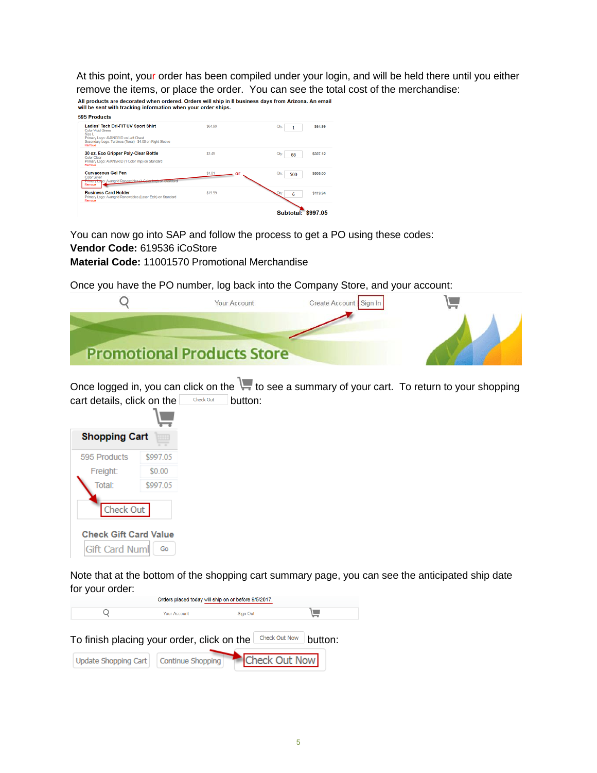At this point, your order has been compiled under your login, and will be held there until you either remove the items, or place the order. You can see the total cost of the merchandise:

| All products are decorated when ordered. Orders will ship in 8 business days from Arizona. An email<br>will be sent with tracking information when your order ships.              |              |                         |
|-----------------------------------------------------------------------------------------------------------------------------------------------------------------------------------|--------------|-------------------------|
| 595 Products                                                                                                                                                                      |              |                         |
| Ladies' Tech Dri-FIT UV Sport Shirt<br>Color Vivid Green<br>Size L<br>Primary Logo: AVANGRID on Left Chest<br>Secondary Logo: Turbines (Tonal) - \$4.00 on Right Sleeve<br>Remove | \$64.99      | \$64.99<br>Qtv<br>1     |
| 30 oz. Eco Gripper Poly-Clear Bottle<br>Color Clear<br>Primary Logo: AVANGRID (1 Color Imp) on Standard<br>Ramova                                                                 | \$3.49       | \$307.12<br>Otv<br>88   |
| <b>Curvaceous Gel Pen</b><br><b>Color Silver</b><br>Primary Lono: Avanorid Renewables (1 Color Impromotandard<br>Remove                                                           | \$1.01<br>or | Qtv.<br>\$505.00<br>500 |
| <b>Business Card Holder</b><br>Primary Logo: Avangrid Renewables (Laser Etch) on Standard<br>Remove                                                                               | \$19.99      | \$119.94<br>6           |
|                                                                                                                                                                                   |              | Subtotal: \$997.05      |

You can now go into SAP and follow the process to get a PO using these codes:

**Vendor Code:** 619536 iCoStore

**Material Code:** 11001570 Promotional Merchandise

Once you have the PO number, log back into the Company Store, and your account:

| <b>Your Account</b>               | Create Account Sign In |  |
|-----------------------------------|------------------------|--|
|                                   |                        |  |
| <b>Promotional Products Store</b> |                        |  |

Once logged in, you can click on the  $\overline{\mathbf{t}}$  to see a summary of your cart. To return to your shopping cart details, click on the  $\frac{c \text{h}_\text{eck Out}}{c \text{h}_\text{eck Out}}$  button:



Note that at the bottom of the shopping cart summary page, you can see the anticipated ship date for your order:

| Orders placed today will ship on or before 9/5/2017. |                     |          |  |  |
|------------------------------------------------------|---------------------|----------|--|--|
|                                                      | <b>Your Account</b> | Sign Out |  |  |

To finish placing your order, click on the  $\Box$  Check Out Now button:

|  | Update Shopping Cart Continue Shopping Check Out Now |  |
|--|------------------------------------------------------|--|
|--|------------------------------------------------------|--|